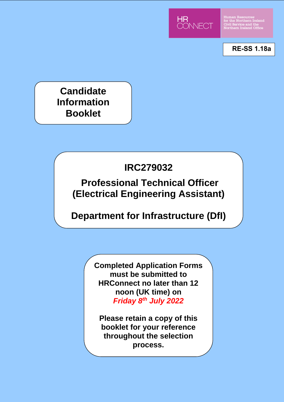

Human Resources<br>for the Northern Ireland<br>Civil Service and the<br>Northern Ireland Office

**RE-SS 1.18a**

**Candidate Information Booklet**

# **IRC279032**

**Professional Technical Officer (Electrical Engineering Assistant)**

# **Department for Infrastructure (DfI)**

**Completed Application Forms must be submitted to HRConnect no later than 12 noon (UK time) on**  *Friday 8th July 2022*

**Please retain a copy of this booklet for your reference throughout the selection process.**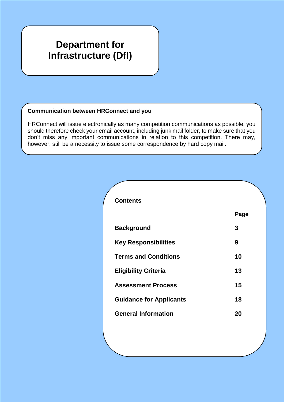# **Department for Infrastructure (DfI)**

# **Communication between HRConnect and you**

HRConnect will issue electronically as many competition communications as possible, you should therefore check your email account, including junk mail folder, to make sure that you don't miss any important communications in relation to this competition. There may, however, still be a necessity to issue some correspondence by hard copy mail.

| <b>Contents</b>                |      |
|--------------------------------|------|
|                                | Page |
| <b>Background</b>              | 3    |
| <b>Key Responsibilities</b>    | 9    |
| <b>Terms and Conditions</b>    | 10   |
| <b>Eligibility Criteria</b>    | 13   |
| <b>Assessment Process</b>      | 15   |
| <b>Guidance for Applicants</b> | 18   |
| <b>General Information</b>     | 20   |
|                                |      |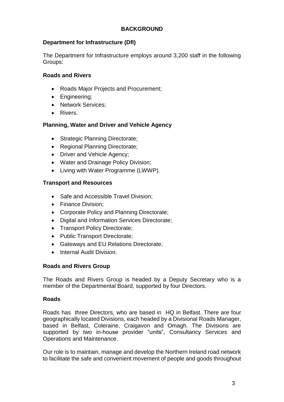# **BACKGROUND**

# **Department for Infrastructure (DfI)**

The Department for Infrastructure employs around 3,200 staff in the following Groups:

# **Roads and Rivers**

- Roads Major Projects and Procurement;
- Engineering;
- Network Services;
- Rivers.

# **Planning, Water and Driver and Vehicle Agency**

- Strategic Planning Directorate;
- Regional Planning Directorate;
- Driver and Vehicle Agency;
- Water and Drainage Policy Division;
- Living with Water Programme (LWWP).

# **Transport and Resources**

- Safe and Accessible Travel Division:
- Finance Division:
- Corporate Policy and Planning Directorate;
- Digital and Information Services Directorate;
- Transport Policy Directorate:
- Public Transport Directorate:
- Gateways and EU Relations Directorate;
- Internal Audit Division.

# **Roads and Rivers Group**

The Roads and Rivers Group is headed by a Deputy Secretary who is a member of the Departmental Board, supported by four Directors.

# **Roads**

Roads has three Directors, who are based in HQ in Belfast. There are four geographically located Divisions, each headed by a Divisional Roads Manager, based in Belfast, Coleraine, Craigavon and Omagh. The Divisions are supported by two in-house provider "units", Consultancy Services and Operations and Maintenance.

Our role is to maintain, manage and develop the Northern Ireland road network to facilitate the safe and convenient movement of people and goods throughout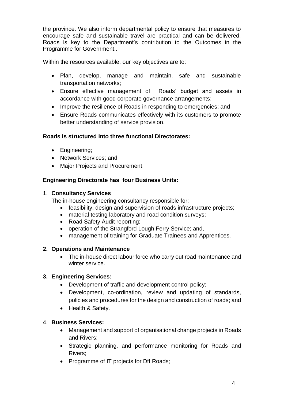the province. We also inform departmental policy to ensure that measures to encourage safe and sustainable travel are practical and can be delivered. Roads is key to the Department's contribution to the Outcomes in the Programme for Government..

Within the resources available, our key objectives are to:

- Plan, develop, manage and maintain, safe and sustainable transportation networks;
- Ensure effective management of Roads' budget and assets in accordance with good corporate governance arrangements;
- Improve the resilience of Roads in responding to emergencies; and
- Ensure Roads communicates effectively with its customers to promote better understanding of service provision.

# **Roads is structured into three functional Directorates:**

- Engineering;
- Network Services: and
- Major Projects and Procurement.

# **Engineering Directorate has four Business Units:**

#### 1. **Consultancy Services**

The in-house engineering consultancy responsible for:

- feasibility, design and supervision of roads infrastructure projects;
- material testing laboratory and road condition surveys;
- Road Safety Audit reporting;
- operation of the Strangford Lough Ferry Service; and,
- management of training for Graduate Trainees and Apprentices.

# **2. Operations and Maintenance**

• The in-house direct labour force who carry out road maintenance and winter service.

# **3. Engineering Services:**

- Development of traffic and development control policy;
- Development, co-ordination, review and updating of standards, policies and procedures for the design and construction of roads; and
- Health & Safety.

# 4. **Business Services:**

- Management and support of organisational change projects in Roads and Rivers;
- Strategic planning, and performance monitoring for Roads and Rivers;
- Programme of IT projects for DfI Roads;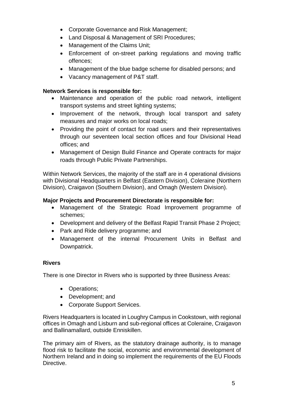- Corporate Governance and Risk Management;
- Land Disposal & Management of SRI Procedures;
- Management of the Claims Unit;
- Enforcement of on-street parking regulations and moving traffic offences;
- Management of the blue badge scheme for disabled persons; and
- Vacancy management of P&T staff.

# **Network Services is responsible for:**

- Maintenance and operation of the public road network, intelligent transport systems and street lighting systems;
- Improvement of the network, through local transport and safety measures and major works on local roads;
- Providing the point of contact for road users and their representatives through our seventeen local section offices and four Divisional Head offices; and
- Management of Design Build Finance and Operate contracts for major roads through Public Private Partnerships.

Within Network Services, the majority of the staff are in 4 operational divisions with Divisional Headquarters in Belfast (Eastern Division), Coleraine (Northern Division), Craigavon (Southern Division), and Omagh (Western Division).

## **Major Projects and Procurement Directorate is responsible for:**

- Management of the Strategic Road Improvement programme of schemes;
- Development and delivery of the Belfast Rapid Transit Phase 2 Project;
- Park and Ride delivery programme; and
- Management of the internal Procurement Units in Belfast and Downpatrick.

#### **Rivers**

There is one Director in Rivers who is supported by three Business Areas:

- Operations;
- Development: and
- Corporate Support Services.

Rivers Headquarters is located in Loughry Campus in Cookstown, with regional offices in Omagh and Lisburn and sub-regional offices at Coleraine, Craigavon and Ballinamallard, outside Enniskillen.

The primary aim of Rivers, as the statutory drainage authority, is to manage flood risk to facilitate the social, economic and environmental development of Northern Ireland and in doing so implement the requirements of the EU Floods Directive.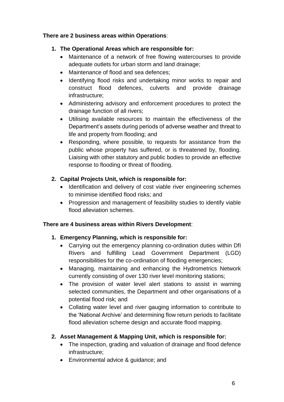# **There are 2 business areas within Operations**:

# **1. The Operational Areas which are responsible for:**

- Maintenance of a network of free flowing watercourses to provide adequate outlets for urban storm and land drainage;
- Maintenance of flood and sea defences;
- Identifying flood risks and undertaking minor works to repair and construct flood defences, culverts and provide drainage infrastructure;
- Administering advisory and enforcement procedures to protect the drainage function of all rivers;
- Utilising available resources to maintain the effectiveness of the Department's assets during periods of adverse weather and threat to life and property from flooding; and
- Responding, where possible, to requests for assistance from the public whose property has suffered, or is threatened by, flooding. Liaising with other statutory and public bodies to provide an effective response to flooding or threat of flooding.

# **2. Capital Projects Unit, which is responsible for:**

- Identification and delivery of cost viable river engineering schemes to minimise identified flood risks; and
- Progression and management of feasibility studies to identify viable flood alleviation schemes.

# **There are 4 business areas within Rivers Development**:

# **1. Emergency Planning, which is responsible for:**

- Carrying out the emergency planning co-ordination duties within DfI Rivers and fulfilling Lead Government Department (LGD) responsibilities for the co-ordination of flooding emergencies;
- Managing, maintaining and enhancing the Hydrometrics Network currently consisting of over 130 river level monitoring stations;
- The provision of water level alert stations to assist in warning selected communities, the Department and other organisations of a potential flood risk; and
- Collating water level and river gauging information to contribute to the 'National Archive' and determining flow return periods to facilitate flood alleviation scheme design and accurate flood mapping.

# **2. Asset Management & Mapping Unit, which is responsible for:**

- The inspection, grading and valuation of drainage and flood defence infrastructure;
- Environmental advice & quidance: and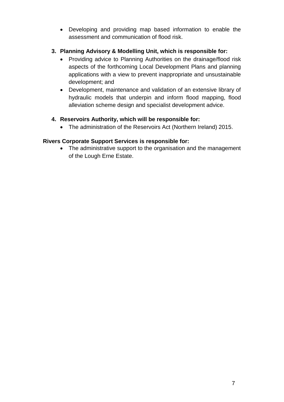- Developing and providing map based information to enable the assessment and communication of flood risk.
- **3. Planning Advisory & Modelling Unit, which is responsible for:**
	- Providing advice to Planning Authorities on the drainage/flood risk aspects of the forthcoming Local Development Plans and planning applications with a view to prevent inappropriate and unsustainable development; and
	- Development, maintenance and validation of an extensive library of hydraulic models that underpin and inform flood mapping, flood alleviation scheme design and specialist development advice.

# **4. Reservoirs Authority, which will be responsible for:**

The administration of the Reservoirs Act (Northern Ireland) 2015.

# **Rivers Corporate Support Services is responsible for:**

• The administrative support to the organisation and the management of the Lough Erne Estate.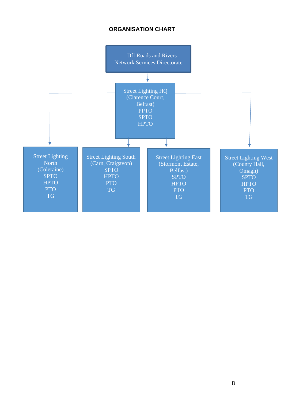# **ORGANISATION CHART**

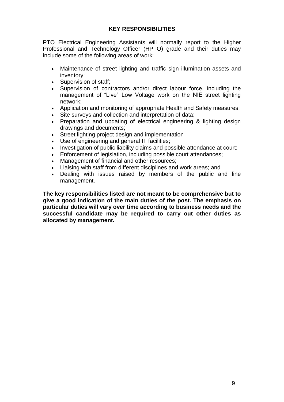#### **KEY RESPONSIBILITIES**

PTO Electrical Engineering Assistants will normally report to the Higher Professional and Technology Officer (HPTO) grade and their duties may include some of the following areas of work:

- Maintenance of street lighting and traffic sign illumination assets and inventory;
- Supervision of staff:
- Supervision of contractors and/or direct labour force, including the management of "Live" Low Voltage work on the NIE street lighting network;
- Application and monitoring of appropriate Health and Safety measures;
- Site surveys and collection and interpretation of data;
- Preparation and updating of electrical engineering & lighting design drawings and documents;
- Street lighting project design and implementation
- Use of engineering and general IT facilities;
- Investigation of public liability claims and possible attendance at court;
- Enforcement of legislation, including possible court attendances;
- Management of financial and other resources:
- Liaising with staff from different disciplines and work areas; and
- Dealing with issues raised by members of the public and line management.

**The key responsibilities listed are not meant to be comprehensive but to give a good indication of the main duties of the post. The emphasis on particular duties will vary over time according to business needs and the successful candidate may be required to carry out other duties as allocated by management.**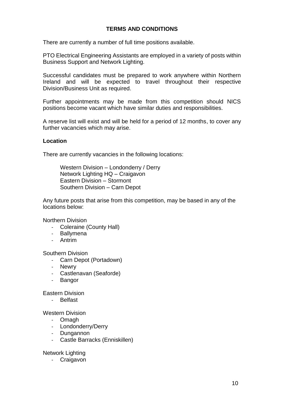# **TERMS AND CONDITIONS**

There are currently a number of full time positions available.

PTO Electrical Engineering Assistants are employed in a variety of posts within Business Support and Network Lighting.

Successful candidates must be prepared to work anywhere within Northern Ireland and will be expected to travel throughout their respective Division/Business Unit as required.

Further appointments may be made from this competition should NICS positions become vacant which have similar duties and responsibilities.

A reserve list will exist and will be held for a period of 12 months, to cover any further vacancies which may arise.

#### **Location**

There are currently vacancies in the following locations:

Western Division – Londonderry / Derry Network Lighting HQ – Craigavon Eastern Division – Stormont Southern Division – Carn Depot

Any future posts that arise from this competition, may be based in any of the locations below:

Northern Division

- Coleraine (County Hall)
- Ballymena
- Antrim

Southern Division

- Carn Depot (Portadown)
- Newry
- Castlenavan (Seaforde)
- Bangor

Eastern Division

- Belfast

Western Division

- Omagh
- Londonderry/Derry
- Dungannon
- Castle Barracks (Enniskillen)

Network Lighting

- Craigavon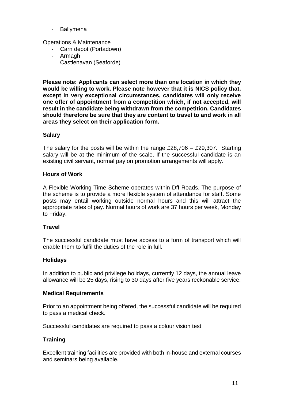- Ballymena

Operations & Maintenance

- Carn depot (Portadown)
- Armagh
- Castlenavan (Seaforde)

**Please note: Applicants can select more than one location in which they would be willing to work. Please note however that it is NICS policy that, except in very exceptional circumstances, candidates will only receive one offer of appointment from a competition which, if not accepted, will result in the candidate being withdrawn from the competition. Candidates should therefore be sure that they are content to travel to and work in all areas they select on their application form.**

#### **Salary**

The salary for the posts will be within the range  $£28,706 - £29,307$ . Starting salary will be at the minimum of the scale. If the successful candidate is an existing civil servant, normal pay on promotion arrangements will apply.

#### **Hours of Work**

A Flexible Working Time Scheme operates within DfI Roads. The purpose of the scheme is to provide a more flexible system of attendance for staff. Some posts may entail working outside normal hours and this will attract the appropriate rates of pay. Normal hours of work are 37 hours per week, Monday to Friday.

#### **Travel**

The successful candidate must have access to a form of transport which will enable them to fulfil the duties of the role in full.

#### **Holidays**

In addition to public and privilege holidays, currently 12 days, the annual leave allowance will be 25 days, rising to 30 days after five years reckonable service.

#### **Medical Requirements**

Prior to an appointment being offered, the successful candidate will be required to pass a medical check.

Successful candidates are required to pass a colour vision test.

# **Training**

Excellent training facilities are provided with both in-house and external courses and seminars being available.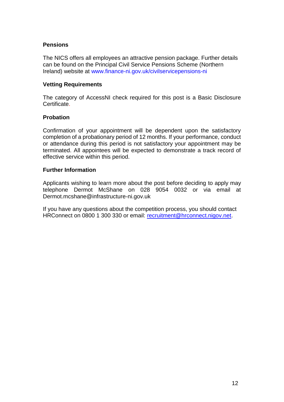#### **Pensions**

The NICS offers all employees an attractive pension package. Further details can be found on the Principal Civil Service Pensions Scheme (Northern Ireland) website at www.finance-ni.gov.uk/civilservicepensions-ni

#### **Vetting Requirements**

The category of AccessNI check required for this post is a Basic Disclosure **Certificate** 

#### **Probation**

Confirmation of your appointment will be dependent upon the satisfactory completion of a probationary period of 12 months. If your performance, conduct or attendance during this period is not satisfactory your appointment may be terminated. All appointees will be expected to demonstrate a track record of effective service within this period.

#### **Further Information**

Applicants wishing to learn more about the post before deciding to apply may telephone Dermot McShane on 028 9054 0032 or via email at Dermot.mcshane@infrastructure-ni.gov.uk

If you have any questions about the competition process, you should contact HRConnect on 0800 1 300 330 or email: [recruitment@hrconnect.nigov.net.](mailto:recruitment@hrconnect.nigov.net)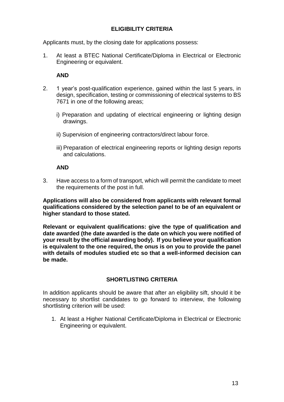# **ELIGIBILITY CRITERIA**

Applicants must, by the closing date for applications possess:

1. At least a BTEC National Certificate/Diploma in Electrical or Electronic Engineering or equivalent.

## **AND**

- 2. 1 year's post-qualification experience, gained within the last 5 years, in design, specification, testing or commissioning of electrical systems to BS 7671 in one of the following areas;
	- i) Preparation and updating of electrical engineering or lighting design drawings.
	- ii) Supervision of engineering contractors/direct labour force.
	- iii) Preparation of electrical engineering reports or lighting design reports and calculations.

#### **AND**

3. Have access to a form of transport, which will permit the candidate to meet the requirements of the post in full.

**Applications will also be considered from applicants with relevant formal qualifications considered by the selection panel to be of an equivalent or higher standard to those stated.**

**Relevant or equivalent qualifications: give the type of qualification and date awarded (the date awarded is the date on which you were notified of your result by the official awarding body). If you believe your qualification is equivalent to the one required, the onus is on you to provide the panel with details of modules studied etc so that a well-informed decision can be made.** 

# **SHORTLISTING CRITERIA**

In addition applicants should be aware that after an eligibility sift, should it be necessary to shortlist candidates to go forward to interview, the following shortlisting criterion will be used:

1. At least a Higher National Certificate/Diploma in Electrical or Electronic Engineering or equivalent.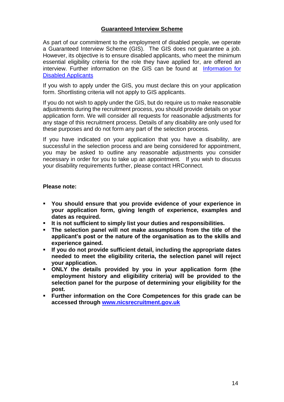#### **Guaranteed Interview Scheme**

As part of our commitment to the employment of disabled people, we operate a Guaranteed Interview Scheme (GIS). The GIS does not guarantee a job. However, its objective is to ensure disabled applicants, who meet the minimum essential eligibility criteria for the role they have applied for, are offered an interview. Further information on the GIS can be found at [Information for](https://irecruit-ext.hrconnect.nigov.net/pages/content.aspx?Page=Information-for-Disabled-Applicants-)  [Disabled Applicants](https://irecruit-ext.hrconnect.nigov.net/pages/content.aspx?Page=Information-for-Disabled-Applicants-)

If you wish to apply under the GIS, you must declare this on your application form. Shortlisting criteria will not apply to GIS applicants.

If you do not wish to apply under the GIS, but do require us to make reasonable adjustments during the recruitment process, you should provide details on your application form. We will consider all requests for reasonable adjustments for any stage of this recruitment process. Details of any disability are only used for these purposes and do not form any part of the selection process.

If you have indicated on your application that you have a disability, are successful in the selection process and are being considered for appointment, you may be asked to outline any reasonable adjustments you consider necessary in order for you to take up an appointment. If you wish to discuss your disability requirements further, please contact HRConnect.

#### **Please note:**

- **You should ensure that you provide evidence of your experience in your application form, giving length of experience, examples and dates as required.**
- **It is not sufficient to simply list your duties and responsibilities.**
- **The selection panel will not make assumptions from the title of the applicant's post or the nature of the organisation as to the skills and experience gained.**
- **If you do not provide sufficient detail, including the appropriate dates needed to meet the eligibility criteria, the selection panel will reject your application.**
- **ONLY the details provided by you in your application form (the employment history and eligibility criteria) will be provided to the selection panel for the purpose of determining your eligibility for the post.**
- **Further information on the Core Competences for this grade can be accessed through [www.nicsrecruitment.gov.uk](http://www.nicsrecruitment.gov.uk/)**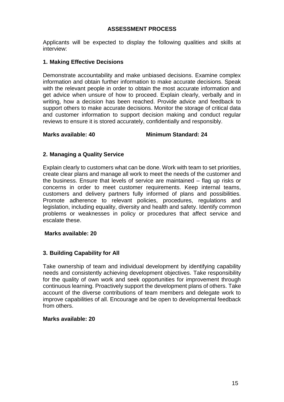#### **ASSESSMENT PROCESS**

Applicants will be expected to display the following qualities and skills at interview:

#### **1. Making Effective Decisions**

Demonstrate accountability and make unbiased decisions. Examine complex information and obtain further information to make accurate decisions. Speak with the relevant people in order to obtain the most accurate information and get advice when unsure of how to proceed. Explain clearly, verbally and in writing, how a decision has been reached. Provide advice and feedback to support others to make accurate decisions. Monitor the storage of critical data and customer information to support decision making and conduct regular reviews to ensure it is stored accurately, confidentially and responsibly.

**Marks available: 40 Minimum Standard: 24**

#### **2. Managing a Quality Service**

Explain clearly to customers what can be done. Work with team to set priorities, create clear plans and manage all work to meet the needs of the customer and the business. Ensure that levels of service are maintained – flag up risks or concerns in order to meet customer requirements. Keep internal teams, customers and delivery partners fully informed of plans and possibilities. Promote adherence to relevant policies, procedures, regulations and legislation, including equality, diversity and health and safety. Identify common problems or weaknesses in policy or procedures that affect service and escalate these.

#### **Marks available: 20**

# **3. Building Capability for All**

Take ownership of team and individual development by identifying capability needs and consistently achieving development objectives. Take responsibility for the quality of own work and seek opportunities for improvement through continuous learning. Proactively support the development plans of others. Take account of the diverse contributions of team members and delegate work to improve capabilities of all. Encourage and be open to developmental feedback from others.

#### **Marks available: 20**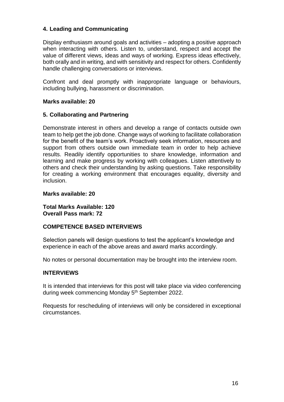# **4. Leading and Communicating**

Display enthusiasm around goals and activities – adopting a positive approach when interacting with others. Listen to, understand, respect and accept the value of different views, ideas and ways of working. Express ideas effectively, both orally and in writing, and with sensitivity and respect for others. Confidently handle challenging conversations or interviews.

Confront and deal promptly with inappropriate language or behaviours, including bullying, harassment or discrimination.

#### **Marks available: 20**

#### **5. Collaborating and Partnering**

Demonstrate interest in others and develop a range of contacts outside own team to help get the job done. Change ways of working to facilitate collaboration for the benefit of the team's work. Proactively seek information, resources and support from others outside own immediate team in order to help achieve results. Readily identify opportunities to share knowledge, information and learning and make progress by working with colleagues. Listen attentively to others and check their understanding by asking questions. Take responsibility for creating a working environment that encourages equality, diversity and inclusion.

#### **Marks available: 20**

**Total Marks Available: 120 Overall Pass mark: 72**

#### **COMPETENCE BASED INTERVIEWS**

Selection panels will design questions to test the applicant's knowledge and experience in each of the above areas and award marks accordingly.

No notes or personal documentation may be brought into the interview room.

#### **INTERVIEWS**

It is intended that interviews for this post will take place via video conferencing during week commencing Monday 5<sup>th</sup> September 2022.

Requests for rescheduling of interviews will only be considered in exceptional circumstances.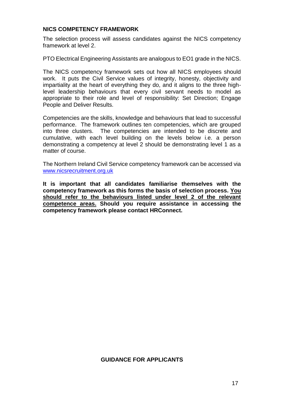#### **NICS COMPETENCY FRAMEWORK**

The selection process will assess candidates against the NICS competency framework at level 2.

PTO Electrical Engineering Assistants are analogous to EO1 grade in the NICS.

The NICS competency framework sets out how all NICS employees should work. It puts the Civil Service values of integrity, honesty, objectivity and impartiality at the heart of everything they do, and it aligns to the three highlevel leadership behaviours that every civil servant needs to model as appropriate to their role and level of responsibility: Set Direction; Engage People and Deliver Results.

Competencies are the skills, knowledge and behaviours that lead to successful performance. The framework outlines ten competencies, which are grouped into three clusters. The competencies are intended to be discrete and cumulative, with each level building on the levels below i.e. a person demonstrating a competency at level 2 should be demonstrating level 1 as a matter of course.

The Northern Ireland Civil Service competency framework can be accessed via [www.nicsrecruitment.org.uk](http://www.nicsrecruitment.gov.uk/)

**It is important that all candidates familiarise themselves with the competency framework as this forms the basis of selection process. You should refer to the behaviours listed under level 2 of the relevant competence areas. Should you require assistance in accessing the competency framework please contact HRConnect.**

#### **GUIDANCE FOR APPLICANTS**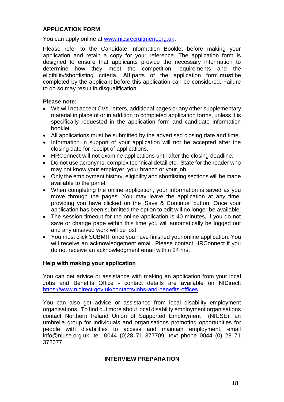#### **APPLICATION FORM**

You can apply online at [www.nicsrecruitment.org.uk](http://www.nicsrecruitment.org.uk/)**.** 

Please refer to the Candidate Information Booklet before making your application and retain a copy for your reference. The application form is designed to ensure that applicants provide the necessary information to determine how they meet the competition requirements and the eligibility/shortlisting criteria. **All** parts of the application form **must** be completed by the applicant before this application can be considered. Failure to do so may result in disqualification.

#### **Please note:**

- We will not accept CVs, letters, additional pages or any other supplementary material in place of or in addition to completed application forms, unless it is specifically requested in the application form and candidate information booklet.
- All applications must be submitted by the advertised closing date and time.
- Information in support of your application will not be accepted after the closing date for receipt of applications.
- HRConnect will not examine applications until after the closing deadline.
- Do not use acronyms, complex technical detail etc. State for the reader who may not know your employer, your branch or your job.
- Only the employment history, eligibility and shortlisting sections will be made available to the panel.
- When completing the online application, your information is saved as you move through the pages. You may leave the application at any time, providing you have clicked on the 'Save & Continue' button. Once your application has been submitted the option to edit will no longer be available.
- The session timeout for the online application is 40 minutes, if you do not save or change page within this time you will automatically be logged out and any unsaved work will be lost.
- You must click SUBMIT once you have finished your online application. You will receive an acknowledgement email. Please contact HRConnect if you do not receive an acknowledgment email within 24 hrs.

#### **Help with making your application**

You can get advice or assistance with making an application from your local Jobs and Benefits Office - contact details are available on NIDirect: <https://www.nidirect.gov.uk/contacts/jobs-and-benefits-offices>

You can also get advice or assistance from local disability employment organisations. To find out more about local disability employment organisations contact Northern Ireland Union of Supported Employment (NIUSE), an umbrella group for individuals and organisations promoting opportunities for people with disabilities to access and maintain employment, email info@niuse.org.uk, tel. 0044 (0)28 71 377709, text phone 0044 (0) 28 71 372077

#### **INTERVIEW PREPARATION**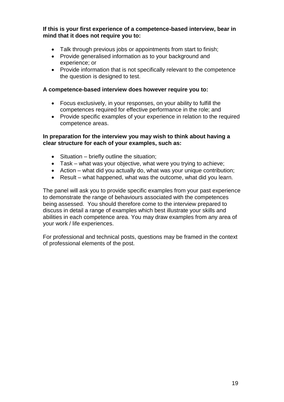**If this is your first experience of a competence-based interview, bear in mind that it does not require you to:**

- Talk through previous jobs or appointments from start to finish;
- Provide generalised information as to your background and experience; or
- Provide information that is not specifically relevant to the competence the question is designed to test.

#### **A competence-based interview does however require you to:**

- Focus exclusively, in your responses, on your ability to fulfill the competences required for effective performance in the role; and
- Provide specific examples of your experience in relation to the required competence areas.

#### **In preparation for the interview you may wish to think about having a clear structure for each of your examples, such as:**

- $\bullet$  Situation briefly outline the situation;
- Task what was your objective, what were you trying to achieve;
- Action what did you actually do, what was your unique contribution;
- Result what happened, what was the outcome, what did you learn.

The panel will ask you to provide specific examples from your past experience to demonstrate the range of behaviours associated with the competences being assessed. You should therefore come to the interview prepared to discuss in detail a range of examples which best illustrate your skills and abilities in each competence area. You may draw examples from any area of your work / life experiences.

For professional and technical posts, questions may be framed in the context of professional elements of the post.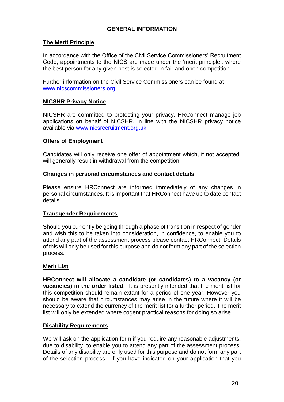# **GENERAL INFORMATION**

#### **The Merit Principle**

In accordance with the Office of the Civil Service Commissioners' Recruitment Code, appointments to the NICS are made under the 'merit principle', where the best person for any given post is selected in fair and open competition.

Further information on the Civil Service Commissioners can be found at [www.nicscommissioners.org.](http://www.nicscommissioners.org/)

#### **NICSHR Privacy Notice**

NICSHR are committed to protecting your privacy. HRConnect manage job applications on behalf of NICSHR, in line with the NICSHR privacy notice available via [www.nicsrecruitment.org.uk](https://www.finance-ni.gov.uk/publications/nics-hr-privacy-notice)

#### **Offers of Employment**

Candidates will only receive one offer of appointment which, if not accepted, will generally result in withdrawal from the competition.

#### **Changes in personal circumstances and contact details**

Please ensure HRConnect are informed immediately of any changes in personal circumstances. It is important that HRConnect have up to date contact details.

#### **Transgender Requirements**

Should you currently be going through a phase of transition in respect of gender and wish this to be taken into consideration, in confidence, to enable you to attend any part of the assessment process please contact HRConnect. Details of this will only be used for this purpose and do not form any part of the selection process.

#### **Merit List**

**HRConnect will allocate a candidate (or candidates) to a vacancy (or vacancies) in the order listed.** It is presently intended that the merit list for this competition should remain extant for a period of one year. However you should be aware that circumstances may arise in the future where it will be necessary to extend the currency of the merit list for a further period. The merit list will only be extended where cogent practical reasons for doing so arise.

# **Disability Requirements**

We will ask on the application form if you require any reasonable adjustments, due to disability, to enable you to attend any part of the assessment process. Details of any disability are only used for this purpose and do not form any part of the selection process. If you have indicated on your application that you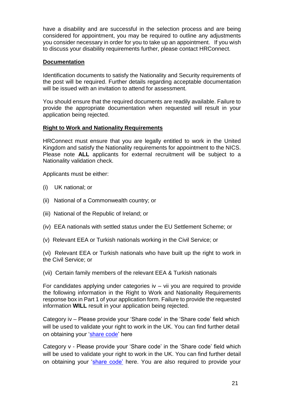have a disability and are successful in the selection process and are being considered for appointment, you may be required to outline any adjustments you consider necessary in order for you to take up an appointment. If you wish to discuss your disability requirements further, please contact HRConnect.

#### **Documentation**

Identification documents to satisfy the Nationality and Security requirements of the post will be required. Further details regarding acceptable documentation will be issued with an invitation to attend for assessment.

You should ensure that the required documents are readily available. Failure to provide the appropriate documentation when requested will result in your application being rejected.

#### **Right to Work and Nationality Requirements**

HRConnect must ensure that you are legally entitled to work in the United Kingdom and satisfy the Nationality requirements for appointment to the NICS. Please note **ALL** applicants for external recruitment will be subject to a Nationality validation check.

Applicants must be either:

- (i) UK national; or
- (ii) National of a Commonwealth country; or
- (iii) National of the Republic of Ireland; or
- (iv) EEA nationals with settled status under the EU Settlement Scheme; or
- (v) Relevant EEA or Turkish nationals working in the Civil Service; or

(vi) Relevant EEA or Turkish nationals who have built up the right to work in the Civil Service; or

(vii) Certain family members of the relevant EEA & Turkish nationals

For candidates applying under categories  $iv - vi$  you are required to provide the following information in the Right to Work and Nationality Requirements response box in Part 1 of your application form. Failure to provide the requested information **WILL** result in your application being rejected.

Category iv – Please provide your 'Share code' in the 'Share code' field which will be used to validate your right to work in the UK. You can find further detail on obtaining your ['share code'](https://www.gov.uk/view-prove-immigration-status) here

Category v - Please provide your 'Share code' in the 'Share code' field which will be used to validate your right to work in the UK. You can find further detail on obtaining your ['share code'](https://www.gov.uk/view-prove-immigration-status) here. You are also required to provide your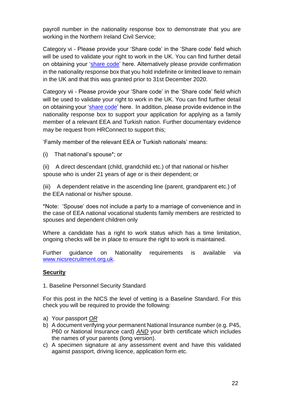payroll number in the nationality response box to demonstrate that you are working in the Northern Ireland Civil Service;

Category vi - Please provide your 'Share code' in the 'Share code' field which will be used to validate your right to work in the UK. You can find further detail on obtaining your ['share code'](https://www.gov.uk/view-prove-immigration-status) here. Alternatively please provide confirmation in the nationality response box that you hold indefinite or limited leave to remain in the UK and that this was granted prior to 31st December 2020.

Category vii - Please provide your 'Share code' in the 'Share code' field which will be used to validate your right to work in the UK. You can find further detail on obtaining your ['share code'](https://www.gov.uk/view-prove-immigration-status) here. In addition, please provide evidence in the nationality response box to support your application for applying as a family member of a relevant EEA and Turkish nation. Further documentary evidence may be request from HRConnect to support this;

'Family member of the relevant EEA or Turkish nationals' means:

(i) That national's spouse\*; or

(ii) A direct descendant (child, grandchild etc.) of that national or his/her spouse who is under 21 years of age or is their dependent; or

(iii) A dependent relative in the ascending line (parent, grandparent etc.) of the EEA national or his/her spouse.

\*Note: 'Spouse' does not include a party to a marriage of convenience and in the case of EEA national vocational students family members are restricted to spouses and dependent children only

Where a candidate has a right to work status which has a time limitation, ongoing checks will be in place to ensure the right to work is maintained.

Further guidance on Nationality requirements is available via [www.nicsrecruitment.org.uk.](https://irecruit-ext.hrconnect.nigov.net/pages/content.aspx?Page=how-do-i-apply/useful-information/nationality-guidance)

# **Security**

1. Baseline Personnel Security Standard

For this post in the NICS the level of vetting is a Baseline Standard. For this check you will be required to provide the following:

- a) Your passport *OR*
- b) A document verifying your permanent National Insurance number (e.g. P45, P60 or National Insurance card) *AND* your birth certificate which includes the names of your parents (long version).
- c) A specimen signature at any assessment event and have this validated against passport, driving licence, application form etc.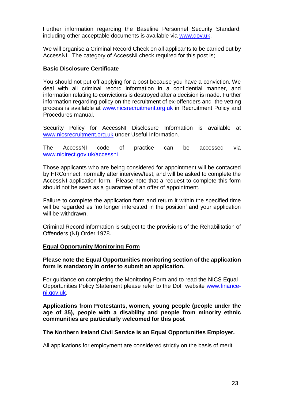Further information regarding the Baseline Personnel Security Standard, including other acceptable documents is available via [www.gov.uk.](https://assets.publishing.service.gov.uk/government/uploads/system/uploads/attachment_data/file/714002/HMG_Baseline_Personnel_Security_Standard_-_May_2018.pdf)

We will organise a Criminal Record Check on all applicants to be carried out by AccessNI. The category of AccessNI check required for this post is:

#### **Basic Disclosure Certificate**

You should not put off applying for a post because you have a conviction. We deal with all criminal record information in a confidential manner, and information relating to convictions is destroyed after a decision is made. Further information regarding policy on the recruitment of ex-offenders and the vetting process is available at [www.nicsrecruitment.org.uk](http://www.nicsrecruitment.org.uk/) in Recruitment Policy and Procedures manual.

Security Policy for AccessNI Disclosure Information is available at [www.nicsrecruitment.org.uk](http://www.nicsrecruitment.org.uk/) under Useful Information.

The AccessNI code of practice can be accessed via [www.nidirect.gov.uk/accessni](http://www.nidirect.gov.uk/accessni)

Those applicants who are being considered for appointment will be contacted by HRConnect, normally after interview/test, and will be asked to complete the AccessNI application form. Please note that a request to complete this form should not be seen as a guarantee of an offer of appointment.

Failure to complete the application form and return it within the specified time will be regarded as 'no longer interested in the position' and your application will be withdrawn.

Criminal Record information is subject to the provisions of the Rehabilitation of Offenders (NI) Order 1978.

#### **Equal Opportunity Monitoring Form**

**Please note the Equal Opportunities monitoring section of the application form is mandatory in order to submit an application.**

For guidance on completing the Monitoring Form and to read the NICS Equal Opportunities Policy Statement please refer to the DoF website [www.finance](https://www.finance-ni.gov.uk/articles/equal-opportunities-information-candidates)[ni.gov.uk.](https://www.finance-ni.gov.uk/articles/equal-opportunities-information-candidates)

**Applications from Protestants, women, young people (people under the age of 35), people with a disability and people from minority ethnic communities are particularly welcomed for this post**

#### **The Northern Ireland Civil Service is an Equal Opportunities Employer.**

All applications for employment are considered strictly on the basis of merit